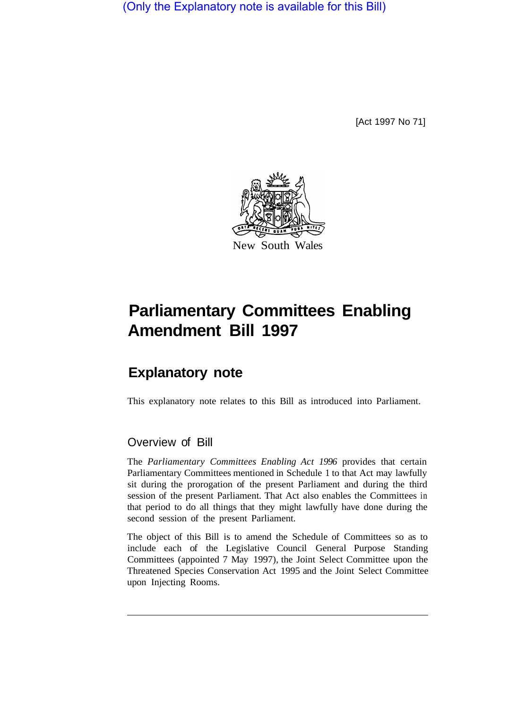(Only the Explanatory note is available for this Bill)

[Act 1997 No 71]



## **Parliamentary Committees Enabling Amendment Bill 1997**

## **Explanatory note**

This explanatory note relates to this Bill as introduced into Parliament.

## Overview of Bill

The *Parliamentary Committees Enabling Act 1996* provides that certain Parliamentary Committees mentioned in Schedule 1 to that Act may lawfully sit during the prorogation of the present Parliament and during the third session of the present Parliament. That Act also enables the Committees in that period to do all things that they might lawfully have done during the second session of the present Parliament.

The object of this Bill is to amend the Schedule of Committees so as to include each of the Legislative Council General Purpose Standing Committees (appointed 7 May 1997), the Joint Select Committee upon the Threatened Species Conservation Act 1995 and the Joint Select Committee upon Injecting Rooms.